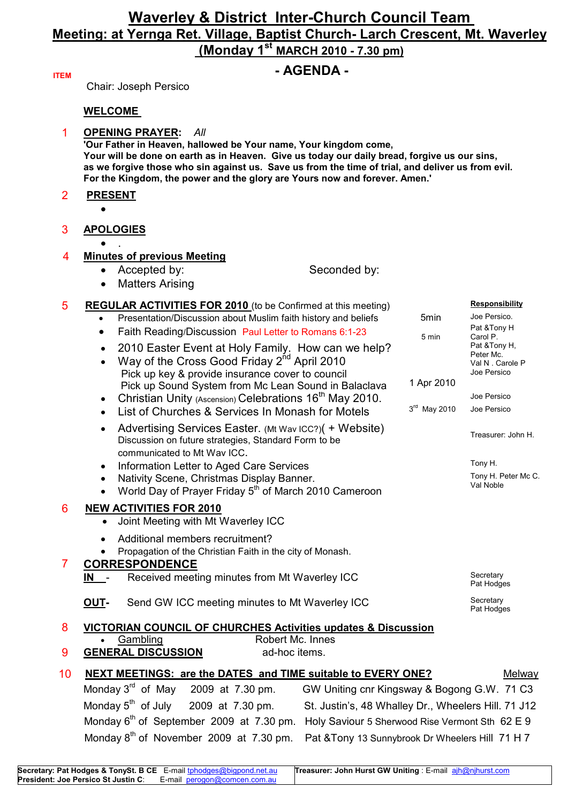## **Waverley & District Inter-Church Council Team Meeting: at Yernga Ret. Village, Baptist Church- Larch Crescent, Mt. Waverley (Monday 1st MARCH 2010 - 7.30 pm)**

## **ITEM** *COLLEGENTS COLLEGENTS COLLEGENTS COLLEGENTS COLLEGENTS COLLEGENTS COLLEGENTS COLLEGENTS COLLEGENTS COLLEGENTS COLLEGENTS COLLEGENTS COLLEGENTS COLLEGENTS COL*

Chair: Joseph Persico

### **WELCOME**

|  | <b>OPENING PRAYER: All</b>                                                                                                                                                                                                                                                      |
|--|---------------------------------------------------------------------------------------------------------------------------------------------------------------------------------------------------------------------------------------------------------------------------------|
|  | 'Our Father in Heaven, hallowed be Your name, Your kingdom come,                                                                                                                                                                                                                |
|  | Your will be done on earth as in Heaven. Give us today our daily bread, forgive us our sins,<br>as we forgive those who sin against us. Save us from the time of trial, and deliver us from evil.<br>For the Kingdom, the power and the glory are Yours now and forever. Amen.' |

- 2 **PRESENT**
	- •
- 3 **APOLOGIES**

### • . 4 **Minutes of previous Meeting**

- Accepted by: Seconded by:
- Matters Arising

#### 5 **REGULAR ACTIVITIES FOR 2010** (to be Confirmed at this meeting) **Responsibility** Presentation/Discussion about Muslim faith history and beliefs 5min Joe Persico. Faith Reading/Discussion Paul Letter to Romans 6:1-23 Pat &Tony H Carol P. • 2010 Easter Event at Holy Family. How can we help? Way of the Cross Good Friday  $2^{nd}$  April 2010 Pick up key & provide insurance cover to council Pick up Sound System from Mc Lean Sound in Balaclava 1 Apr 2010 Pat &Tony H, Peter Mc. Val N . Carole P Joe Persico • Christian Unity (Ascension) Celebrations  $16^{th}$  May 2010.<br>
Just of Churches & Services In Monash for Motels  $3^{rd}$  May 2010 Joe Persico • List of Churches & Services In Monash for Motels  $3<sup>rd</sup>$  May 2010 • Advertising Services Easter. (Mt Wav ICC?)( + Website) Discussion on future strategies, Standard Form to be communicated to Mt Wav ICC. Treasurer: John H. • Information Letter to Aged Care Services The Case of the Care Tony H. • Nativity Scene, Christmas Display Banner. World Day of Prayer Friday 5<sup>th</sup> of March 2010 Cameroon Tony H. Peter Mc C. Val Noble 6 **NEW ACTIVITIES FOR 2010** • Joint Meeting with Mt Waverley ICC • Additional members recruitment? • Propagation of the Christian Faith in the city of Monash. 7 **CORRESPONDENCE IN** - Received meeting minutes from Mt Waverley ICC Secretary Pat Hodges **OUT-** Send GW ICC meeting minutes to Mt Waverley ICC Secretary Pat Hodges 8 **VICTORIAN COUNCIL OF CHURCHES Activities updates & Discussion** Gambling **Example Robert Mc. Innes 9 <b>GENERAL DISCUSSION** ad-hoc items. 10 **NEXT MEETINGS: are the DATES and TIME suitable to EVERY ONE?** Melway

Monday 5<sup>th</sup> of July

Monday 3<sup>rd</sup> of May 2009 at 7.30 pm. GW Uniting cnr Kingsway & Bogong G.W. 71 C3 2009 at 7.30 pm. St. Justin's, 48 Whalley Dr., Wheelers Hill. 71 J12 Monday 6<sup>th</sup> of September 2009 at 7.30 pm. Holy Saviour 5 Sherwood Rise Vermont Sth 62 E 9 Monday 8<sup>th</sup> of November 2009 at 7.30 pm. Pat &Tony 13 Sunnybrook Dr Wheelers Hill 71 H 7